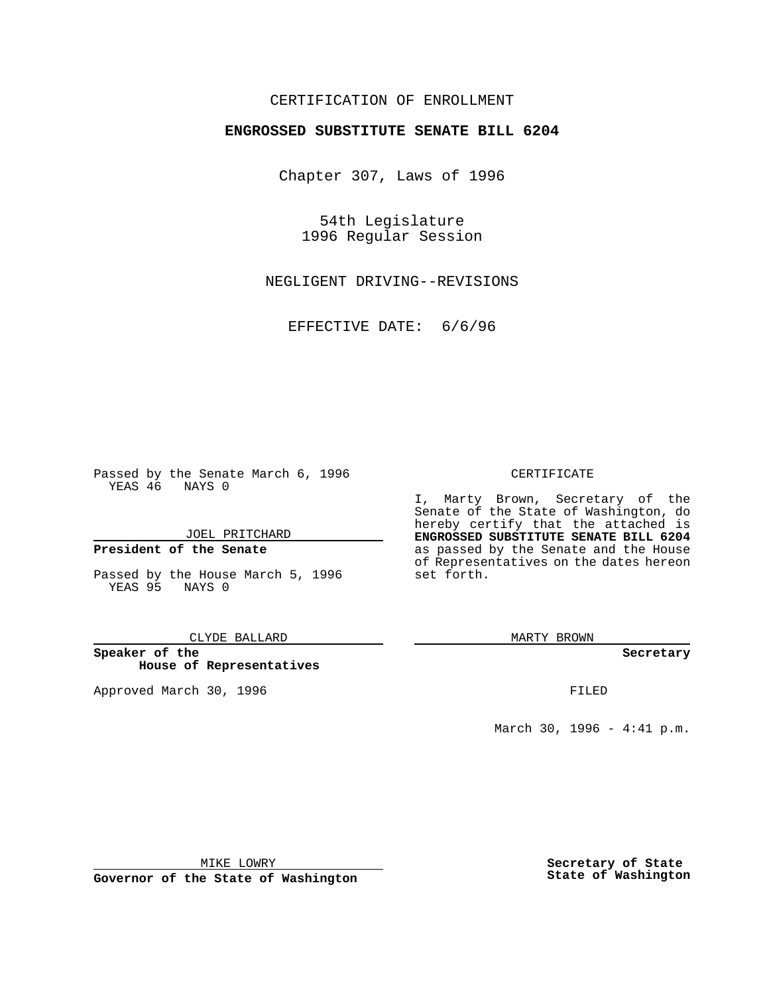# CERTIFICATION OF ENROLLMENT

# **ENGROSSED SUBSTITUTE SENATE BILL 6204**

Chapter 307, Laws of 1996

54th Legislature 1996 Regular Session

NEGLIGENT DRIVING--REVISIONS

EFFECTIVE DATE: 6/6/96

Passed by the Senate March 6, 1996 YEAS 46 NAYS 0

JOEL PRITCHARD

## **President of the Senate**

Passed by the House March 5, 1996 YEAS 95 NAYS 0

#### CLYDE BALLARD

**Speaker of the House of Representatives**

Approved March 30, 1996 FILED

### CERTIFICATE

I, Marty Brown, Secretary of the Senate of the State of Washington, do hereby certify that the attached is **ENGROSSED SUBSTITUTE SENATE BILL 6204** as passed by the Senate and the House of Representatives on the dates hereon set forth.

MARTY BROWN

#### **Secretary**

March 30, 1996 - 4:41 p.m.

MIKE LOWRY

**Governor of the State of Washington**

**Secretary of State State of Washington**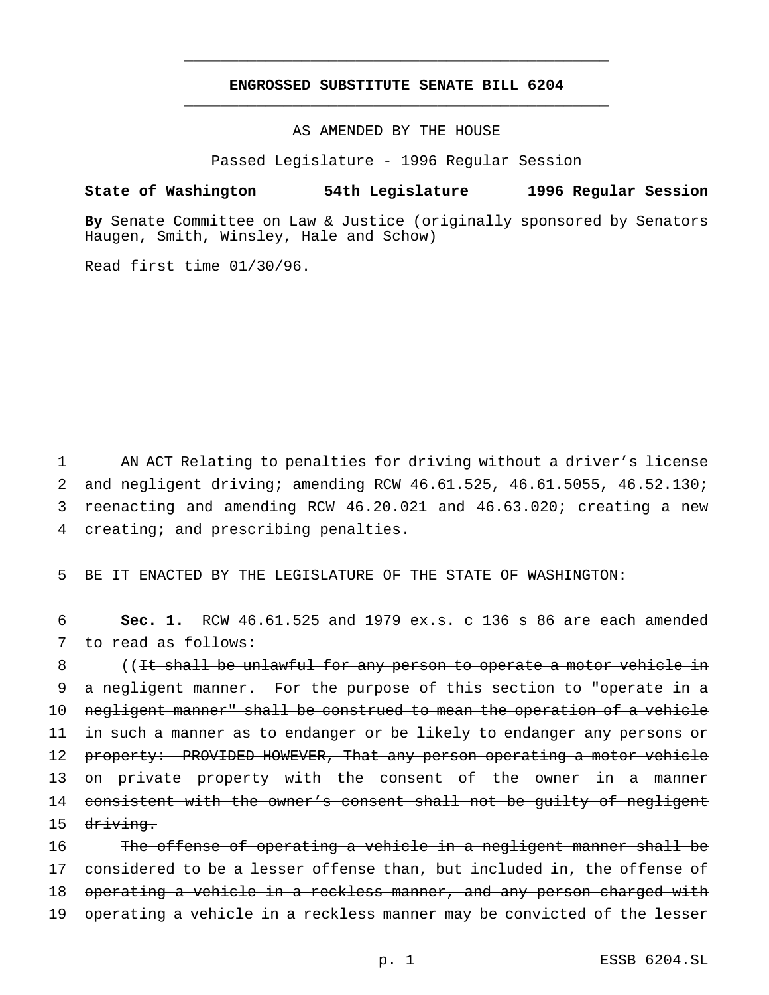# **ENGROSSED SUBSTITUTE SENATE BILL 6204** \_\_\_\_\_\_\_\_\_\_\_\_\_\_\_\_\_\_\_\_\_\_\_\_\_\_\_\_\_\_\_\_\_\_\_\_\_\_\_\_\_\_\_\_\_\_\_

\_\_\_\_\_\_\_\_\_\_\_\_\_\_\_\_\_\_\_\_\_\_\_\_\_\_\_\_\_\_\_\_\_\_\_\_\_\_\_\_\_\_\_\_\_\_\_

AS AMENDED BY THE HOUSE

Passed Legislature - 1996 Regular Session

## **State of Washington 54th Legislature 1996 Regular Session**

**By** Senate Committee on Law & Justice (originally sponsored by Senators Haugen, Smith, Winsley, Hale and Schow)

Read first time 01/30/96.

 AN ACT Relating to penalties for driving without a driver's license and negligent driving; amending RCW 46.61.525, 46.61.5055, 46.52.130; reenacting and amending RCW 46.20.021 and 46.63.020; creating a new creating; and prescribing penalties.

5 BE IT ENACTED BY THE LEGISLATURE OF THE STATE OF WASHINGTON:

6 **Sec. 1.** RCW 46.61.525 and 1979 ex.s. c 136 s 86 are each amended 7 to read as follows:

8 ((It shall be unlawful for any person to operate a motor vehicle in 9 a negligent manner. For the purpose of this section to "operate in a 10 negligent manner" shall be construed to mean the operation of a vehicle 11 in such a manner as to endanger or be likely to endanger any persons or 12 property: PROVIDED HOWEVER, That any person operating a motor vehicle 13 on private property with the consent of the owner in a manner 14 consistent with the owner's consent shall not be quilty of negligent 15 <del>driving.</del>

16 The offense of operating a vehicle in a negligent manner shall be 17 considered to be a lesser offense than, but included in, the offense of 18 operating a vehicle in a reckless manner, and any person charged with 19 operating a vehicle in a reckless manner may be convicted of the lesser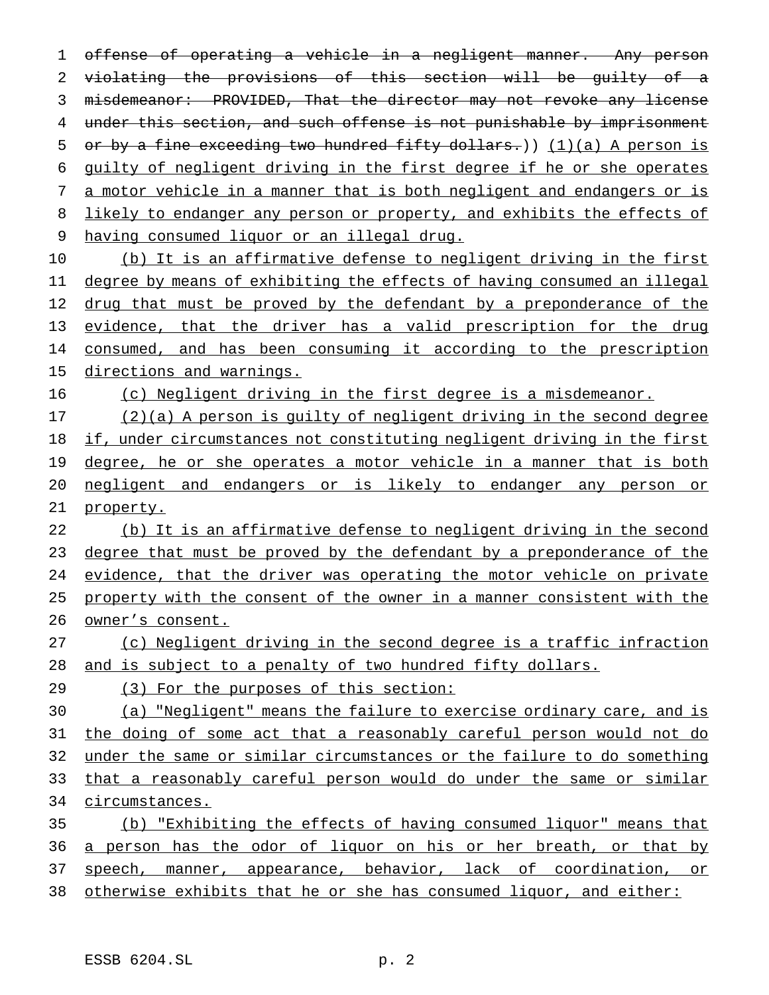offense of operating a vehicle in a negligent manner. Any person violating the provisions of this section will be guilty of a misdemeanor: PROVIDED, That the director may not revoke any license under this section, and such offense is not punishable by imprisonment 5 or by a fine exceeding two hundred fifty dollars.)) (1)(a) A person is guilty of negligent driving in the first degree if he or she operates a motor vehicle in a manner that is both negligent and endangers or is 8 likely to endanger any person or property, and exhibits the effects of having consumed liquor or an illegal drug.

 (b) It is an affirmative defense to negligent driving in the first degree by means of exhibiting the effects of having consumed an illegal 12 drug that must be proved by the defendant by a preponderance of the 13 evidence, that the driver has a valid prescription for the drug 14 consumed, and has been consuming it according to the prescription 15 directions and warnings.

(c) Negligent driving in the first degree is a misdemeanor.

 (2)(a) A person is guilty of negligent driving in the second degree if, under circumstances not constituting negligent driving in the first 19 degree, he or she operates a motor vehicle in a manner that is both negligent and endangers or is likely to endanger any person or 21 property.

 (b) It is an affirmative defense to negligent driving in the second 23 degree that must be proved by the defendant by a preponderance of the evidence, that the driver was operating the motor vehicle on private 25 property with the consent of the owner in a manner consistent with the owner's consent.

 (c) Negligent driving in the second degree is a traffic infraction and is subject to a penalty of two hundred fifty dollars.

(3) For the purposes of this section:

 (a) "Negligent" means the failure to exercise ordinary care, and is the doing of some act that a reasonably careful person would not do under the same or similar circumstances or the failure to do something 33 that a reasonably careful person would do under the same or similar circumstances.

 (b) "Exhibiting the effects of having consumed liquor" means that 36 a person has the odor of liquor on his or her breath, or that by speech, manner, appearance, behavior, lack of coordination, or 38 otherwise exhibits that he or she has consumed liquor, and either: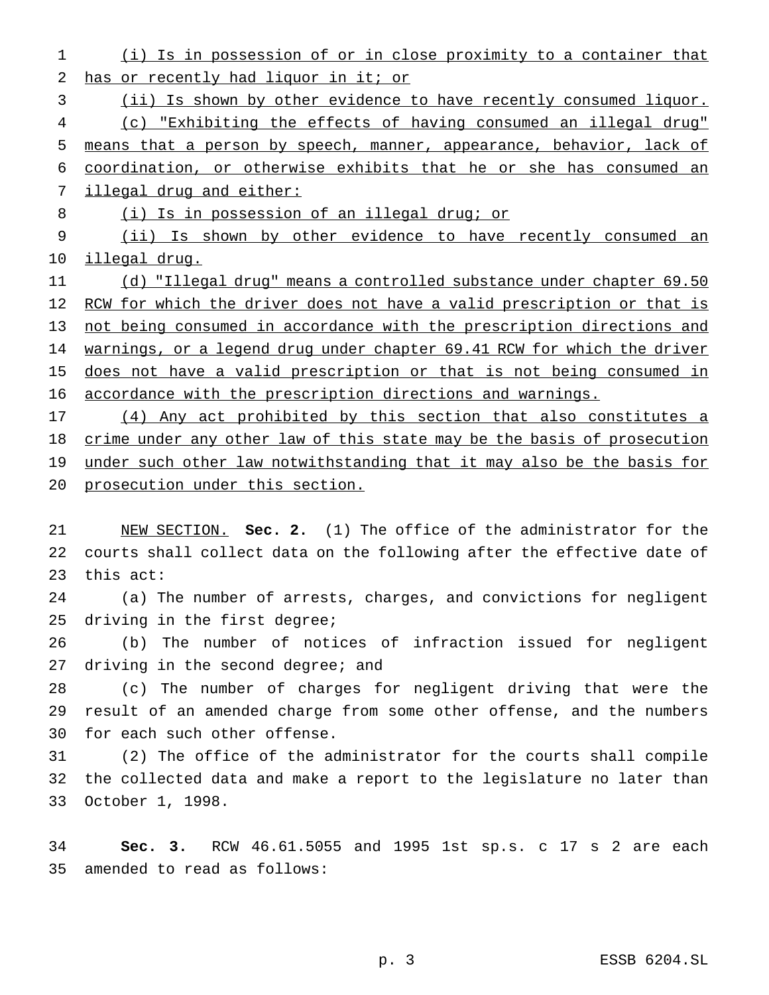(i) Is in possession of or in close proximity to a container that 2 has or recently had liquor in it; or

(ii) Is shown by other evidence to have recently consumed liquor.

 (c) "Exhibiting the effects of having consumed an illegal drug" means that a person by speech, manner, appearance, behavior, lack of coordination, or otherwise exhibits that he or she has consumed an 7 illegal drug and either:

8 (i) Is in possession of an illegal drug; or

 (ii) Is shown by other evidence to have recently consumed an illegal drug.

 (d) "Illegal drug" means a controlled substance under chapter 69.50 12 RCW for which the driver does not have a valid prescription or that is not being consumed in accordance with the prescription directions and 14 warnings, or a legend drug under chapter 69.41 RCW for which the driver 15 does not have a valid prescription or that is not being consumed in accordance with the prescription directions and warnings.

 (4) Any act prohibited by this section that also constitutes a 18 crime under any other law of this state may be the basis of prosecution 19 under such other law notwithstanding that it may also be the basis for prosecution under this section.

 NEW SECTION. **Sec. 2.** (1) The office of the administrator for the courts shall collect data on the following after the effective date of this act:

 (a) The number of arrests, charges, and convictions for negligent driving in the first degree;

 (b) The number of notices of infraction issued for negligent 27 driving in the second degree; and

 (c) The number of charges for negligent driving that were the result of an amended charge from some other offense, and the numbers for each such other offense.

 (2) The office of the administrator for the courts shall compile the collected data and make a report to the legislature no later than October 1, 1998.

 **Sec. 3.** RCW 46.61.5055 and 1995 1st sp.s. c 17 s 2 are each amended to read as follows: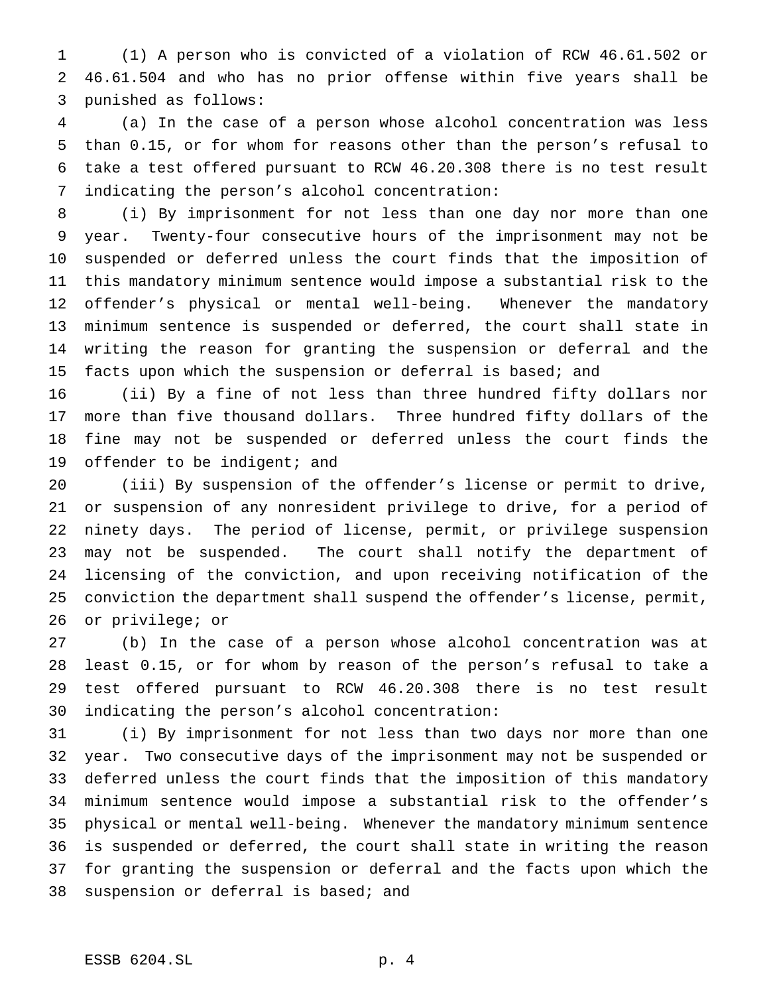(1) A person who is convicted of a violation of RCW 46.61.502 or 46.61.504 and who has no prior offense within five years shall be punished as follows:

 (a) In the case of a person whose alcohol concentration was less than 0.15, or for whom for reasons other than the person's refusal to take a test offered pursuant to RCW 46.20.308 there is no test result indicating the person's alcohol concentration:

 (i) By imprisonment for not less than one day nor more than one year. Twenty-four consecutive hours of the imprisonment may not be suspended or deferred unless the court finds that the imposition of this mandatory minimum sentence would impose a substantial risk to the offender's physical or mental well-being. Whenever the mandatory minimum sentence is suspended or deferred, the court shall state in writing the reason for granting the suspension or deferral and the facts upon which the suspension or deferral is based; and

 (ii) By a fine of not less than three hundred fifty dollars nor more than five thousand dollars. Three hundred fifty dollars of the fine may not be suspended or deferred unless the court finds the 19 offender to be indigent; and

 (iii) By suspension of the offender's license or permit to drive, or suspension of any nonresident privilege to drive, for a period of ninety days. The period of license, permit, or privilege suspension may not be suspended. The court shall notify the department of licensing of the conviction, and upon receiving notification of the conviction the department shall suspend the offender's license, permit, or privilege; or

 (b) In the case of a person whose alcohol concentration was at least 0.15, or for whom by reason of the person's refusal to take a test offered pursuant to RCW 46.20.308 there is no test result indicating the person's alcohol concentration:

 (i) By imprisonment for not less than two days nor more than one year. Two consecutive days of the imprisonment may not be suspended or deferred unless the court finds that the imposition of this mandatory minimum sentence would impose a substantial risk to the offender's physical or mental well-being. Whenever the mandatory minimum sentence is suspended or deferred, the court shall state in writing the reason for granting the suspension or deferral and the facts upon which the suspension or deferral is based; and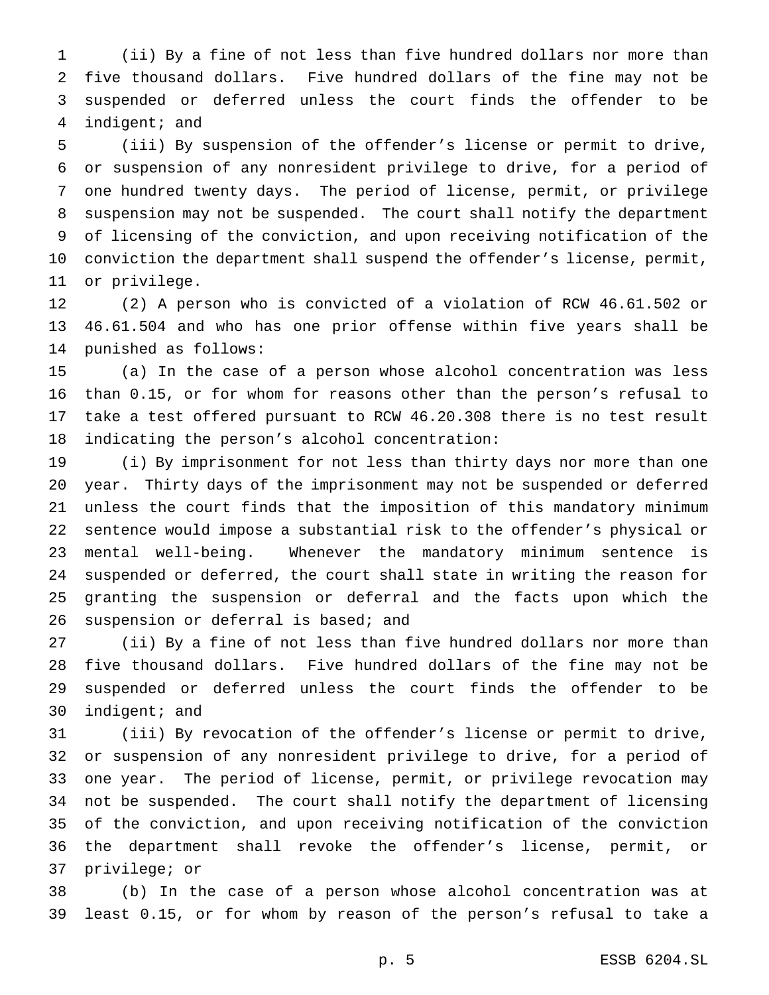(ii) By a fine of not less than five hundred dollars nor more than five thousand dollars. Five hundred dollars of the fine may not be suspended or deferred unless the court finds the offender to be indigent; and

 (iii) By suspension of the offender's license or permit to drive, or suspension of any nonresident privilege to drive, for a period of one hundred twenty days. The period of license, permit, or privilege suspension may not be suspended. The court shall notify the department of licensing of the conviction, and upon receiving notification of the conviction the department shall suspend the offender's license, permit, or privilege.

 (2) A person who is convicted of a violation of RCW 46.61.502 or 46.61.504 and who has one prior offense within five years shall be punished as follows:

 (a) In the case of a person whose alcohol concentration was less than 0.15, or for whom for reasons other than the person's refusal to take a test offered pursuant to RCW 46.20.308 there is no test result indicating the person's alcohol concentration:

 (i) By imprisonment for not less than thirty days nor more than one year. Thirty days of the imprisonment may not be suspended or deferred unless the court finds that the imposition of this mandatory minimum sentence would impose a substantial risk to the offender's physical or mental well-being. Whenever the mandatory minimum sentence is suspended or deferred, the court shall state in writing the reason for granting the suspension or deferral and the facts upon which the 26 suspension or deferral is based; and

 (ii) By a fine of not less than five hundred dollars nor more than five thousand dollars. Five hundred dollars of the fine may not be suspended or deferred unless the court finds the offender to be indigent; and

 (iii) By revocation of the offender's license or permit to drive, or suspension of any nonresident privilege to drive, for a period of one year. The period of license, permit, or privilege revocation may not be suspended. The court shall notify the department of licensing of the conviction, and upon receiving notification of the conviction the department shall revoke the offender's license, permit, or privilege; or

 (b) In the case of a person whose alcohol concentration was at least 0.15, or for whom by reason of the person's refusal to take a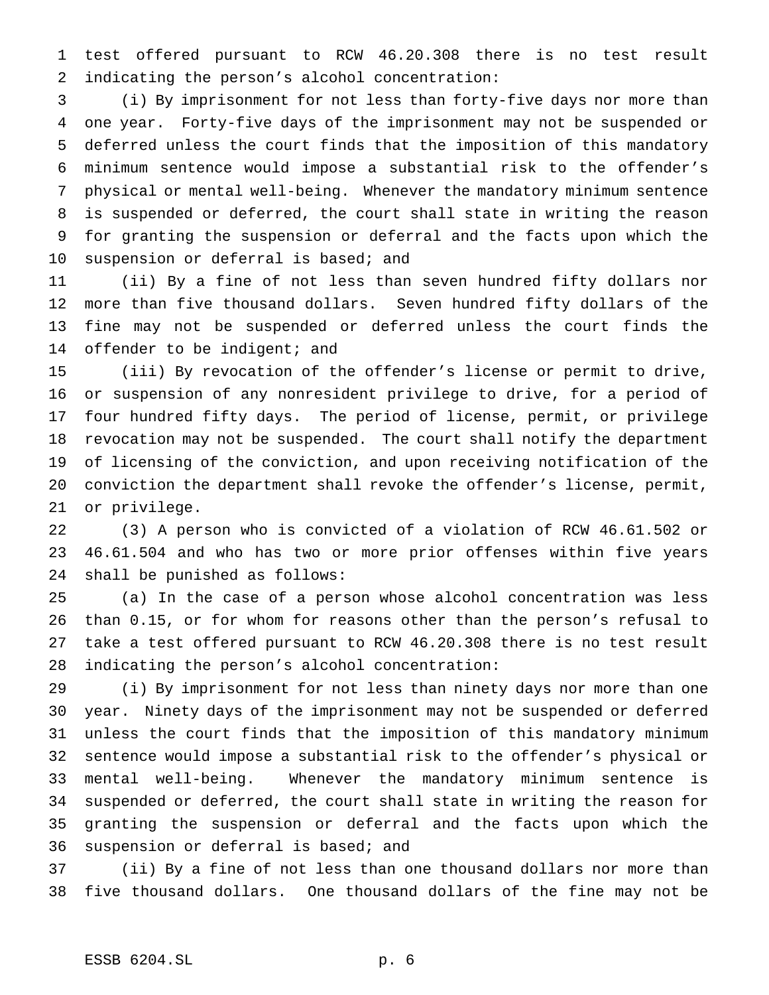test offered pursuant to RCW 46.20.308 there is no test result indicating the person's alcohol concentration:

 (i) By imprisonment for not less than forty-five days nor more than one year. Forty-five days of the imprisonment may not be suspended or deferred unless the court finds that the imposition of this mandatory minimum sentence would impose a substantial risk to the offender's physical or mental well-being. Whenever the mandatory minimum sentence is suspended or deferred, the court shall state in writing the reason for granting the suspension or deferral and the facts upon which the suspension or deferral is based; and

 (ii) By a fine of not less than seven hundred fifty dollars nor more than five thousand dollars. Seven hundred fifty dollars of the fine may not be suspended or deferred unless the court finds the 14 offender to be indigent; and

 (iii) By revocation of the offender's license or permit to drive, or suspension of any nonresident privilege to drive, for a period of four hundred fifty days. The period of license, permit, or privilege revocation may not be suspended. The court shall notify the department of licensing of the conviction, and upon receiving notification of the conviction the department shall revoke the offender's license, permit, or privilege.

 (3) A person who is convicted of a violation of RCW 46.61.502 or 46.61.504 and who has two or more prior offenses within five years shall be punished as follows:

 (a) In the case of a person whose alcohol concentration was less than 0.15, or for whom for reasons other than the person's refusal to take a test offered pursuant to RCW 46.20.308 there is no test result indicating the person's alcohol concentration:

 (i) By imprisonment for not less than ninety days nor more than one year. Ninety days of the imprisonment may not be suspended or deferred unless the court finds that the imposition of this mandatory minimum sentence would impose a substantial risk to the offender's physical or mental well-being. Whenever the mandatory minimum sentence is suspended or deferred, the court shall state in writing the reason for granting the suspension or deferral and the facts upon which the suspension or deferral is based; and

 (ii) By a fine of not less than one thousand dollars nor more than five thousand dollars. One thousand dollars of the fine may not be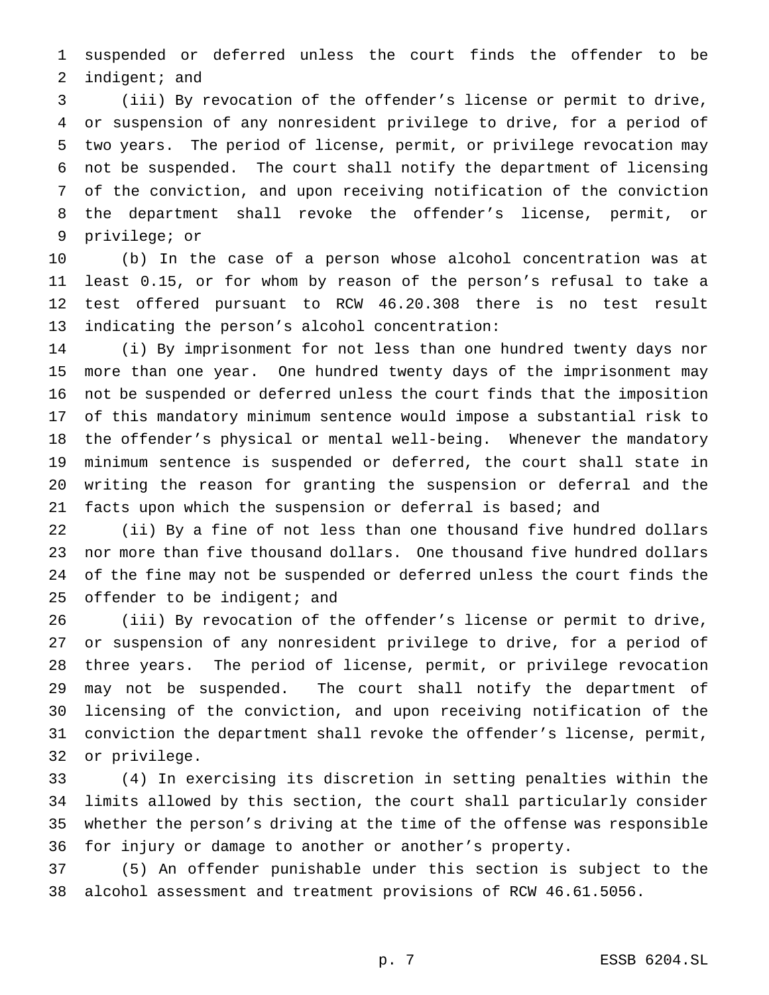suspended or deferred unless the court finds the offender to be 2 indigent; and

 (iii) By revocation of the offender's license or permit to drive, or suspension of any nonresident privilege to drive, for a period of two years. The period of license, permit, or privilege revocation may not be suspended. The court shall notify the department of licensing of the conviction, and upon receiving notification of the conviction the department shall revoke the offender's license, permit, or privilege; or

 (b) In the case of a person whose alcohol concentration was at least 0.15, or for whom by reason of the person's refusal to take a test offered pursuant to RCW 46.20.308 there is no test result indicating the person's alcohol concentration:

 (i) By imprisonment for not less than one hundred twenty days nor more than one year. One hundred twenty days of the imprisonment may not be suspended or deferred unless the court finds that the imposition of this mandatory minimum sentence would impose a substantial risk to the offender's physical or mental well-being. Whenever the mandatory minimum sentence is suspended or deferred, the court shall state in writing the reason for granting the suspension or deferral and the facts upon which the suspension or deferral is based; and

 (ii) By a fine of not less than one thousand five hundred dollars nor more than five thousand dollars. One thousand five hundred dollars of the fine may not be suspended or deferred unless the court finds the 25 offender to be indigent; and

 (iii) By revocation of the offender's license or permit to drive, or suspension of any nonresident privilege to drive, for a period of three years. The period of license, permit, or privilege revocation may not be suspended. The court shall notify the department of licensing of the conviction, and upon receiving notification of the conviction the department shall revoke the offender's license, permit, or privilege.

 (4) In exercising its discretion in setting penalties within the limits allowed by this section, the court shall particularly consider whether the person's driving at the time of the offense was responsible for injury or damage to another or another's property.

 (5) An offender punishable under this section is subject to the alcohol assessment and treatment provisions of RCW 46.61.5056.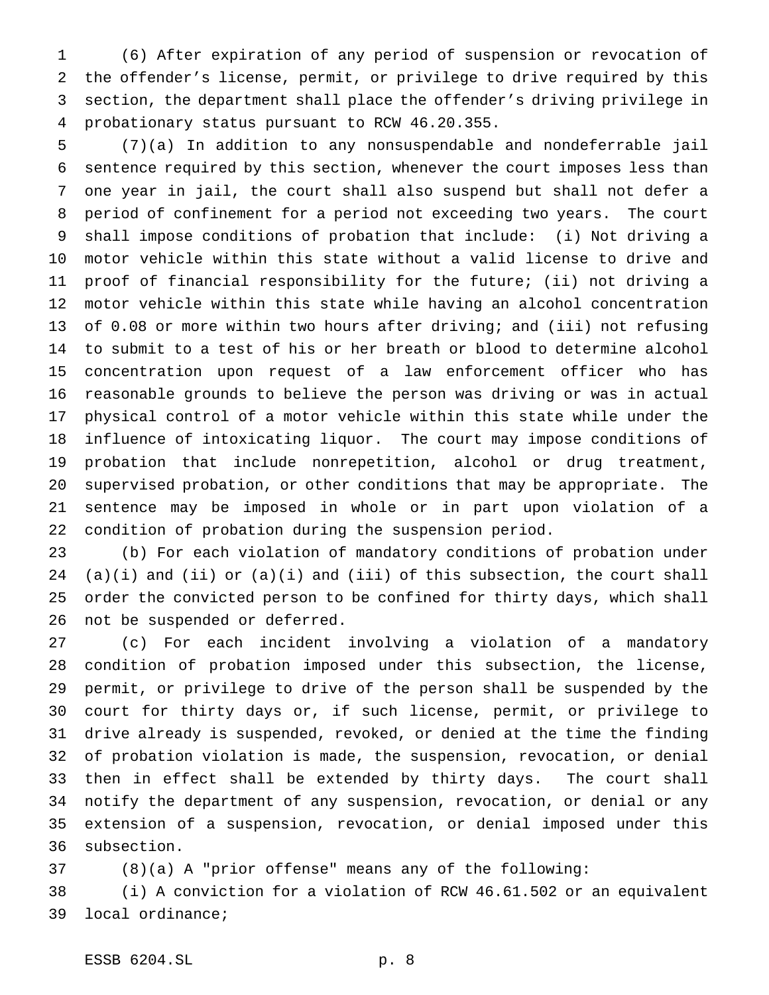(6) After expiration of any period of suspension or revocation of the offender's license, permit, or privilege to drive required by this section, the department shall place the offender's driving privilege in probationary status pursuant to RCW 46.20.355.

 (7)(a) In addition to any nonsuspendable and nondeferrable jail sentence required by this section, whenever the court imposes less than one year in jail, the court shall also suspend but shall not defer a period of confinement for a period not exceeding two years. The court shall impose conditions of probation that include: (i) Not driving a motor vehicle within this state without a valid license to drive and proof of financial responsibility for the future; (ii) not driving a motor vehicle within this state while having an alcohol concentration of 0.08 or more within two hours after driving; and (iii) not refusing to submit to a test of his or her breath or blood to determine alcohol concentration upon request of a law enforcement officer who has reasonable grounds to believe the person was driving or was in actual physical control of a motor vehicle within this state while under the influence of intoxicating liquor. The court may impose conditions of probation that include nonrepetition, alcohol or drug treatment, supervised probation, or other conditions that may be appropriate. The sentence may be imposed in whole or in part upon violation of a condition of probation during the suspension period.

 (b) For each violation of mandatory conditions of probation under 24 (a)(i) and (ii) or  $(a)(i)$  and (iii) of this subsection, the court shall order the convicted person to be confined for thirty days, which shall not be suspended or deferred.

 (c) For each incident involving a violation of a mandatory condition of probation imposed under this subsection, the license, permit, or privilege to drive of the person shall be suspended by the court for thirty days or, if such license, permit, or privilege to drive already is suspended, revoked, or denied at the time the finding of probation violation is made, the suspension, revocation, or denial then in effect shall be extended by thirty days. The court shall notify the department of any suspension, revocation, or denial or any extension of a suspension, revocation, or denial imposed under this subsection.

(8)(a) A "prior offense" means any of the following:

 (i) A conviction for a violation of RCW 46.61.502 or an equivalent local ordinance;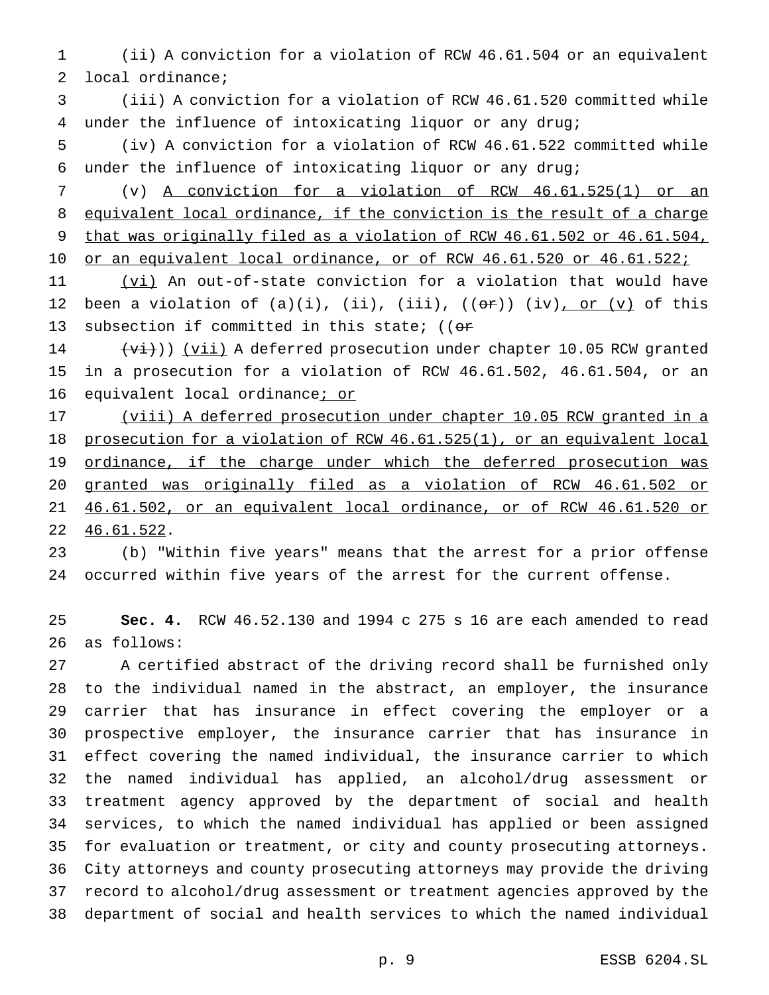(ii) A conviction for a violation of RCW 46.61.504 or an equivalent local ordinance;

 (iii) A conviction for a violation of RCW 46.61.520 committed while under the influence of intoxicating liquor or any drug;

 (iv) A conviction for a violation of RCW 46.61.522 committed while under the influence of intoxicating liquor or any drug;

 (v) A conviction for a violation of RCW 46.61.525(1) or an equivalent local ordinance, if the conviction is the result of a charge that was originally filed as a violation of RCW 46.61.502 or 46.61.504, 10 or an equivalent local ordinance, or of RCW 46.61.520 or 46.61.522;

 (vi) An out-of-state conviction for a violation that would have 12 been a violation of  $(a)(i)$ ,  $(ii)$ ,  $(iii)$ ,  $((or))$   $(iv)$ , or  $(v)$  of this 13 subsection if committed in this state; (( $\sigma$ r

 $(v_i)$ ) (vii) A deferred prosecution under chapter 10.05 RCW granted in a prosecution for a violation of RCW 46.61.502, 46.61.504, or an 16 equivalent local ordinance; or

 (viii) A deferred prosecution under chapter 10.05 RCW granted in a prosecution for a violation of RCW 46.61.525(1), or an equivalent local 19 ordinance, if the charge under which the deferred prosecution was granted was originally filed as a violation of RCW 46.61.502 or 46.61.502, or an equivalent local ordinance, or of RCW 46.61.520 or 46.61.522.

 (b) "Within five years" means that the arrest for a prior offense occurred within five years of the arrest for the current offense.

 **Sec. 4.** RCW 46.52.130 and 1994 c 275 s 16 are each amended to read as follows:

 A certified abstract of the driving record shall be furnished only to the individual named in the abstract, an employer, the insurance carrier that has insurance in effect covering the employer or a prospective employer, the insurance carrier that has insurance in effect covering the named individual, the insurance carrier to which the named individual has applied, an alcohol/drug assessment or treatment agency approved by the department of social and health services, to which the named individual has applied or been assigned for evaluation or treatment, or city and county prosecuting attorneys. City attorneys and county prosecuting attorneys may provide the driving record to alcohol/drug assessment or treatment agencies approved by the department of social and health services to which the named individual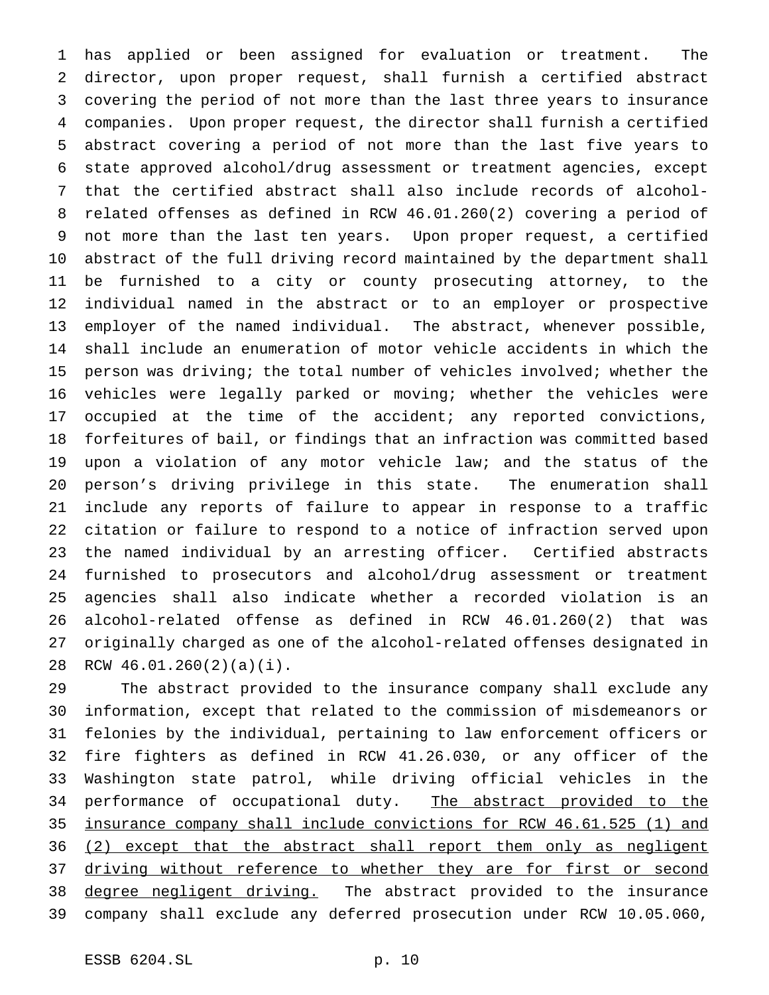has applied or been assigned for evaluation or treatment. The director, upon proper request, shall furnish a certified abstract covering the period of not more than the last three years to insurance companies. Upon proper request, the director shall furnish a certified abstract covering a period of not more than the last five years to state approved alcohol/drug assessment or treatment agencies, except that the certified abstract shall also include records of alcohol- related offenses as defined in RCW 46.01.260(2) covering a period of not more than the last ten years. Upon proper request, a certified abstract of the full driving record maintained by the department shall be furnished to a city or county prosecuting attorney, to the individual named in the abstract or to an employer or prospective employer of the named individual. The abstract, whenever possible, shall include an enumeration of motor vehicle accidents in which the person was driving; the total number of vehicles involved; whether the vehicles were legally parked or moving; whether the vehicles were occupied at the time of the accident; any reported convictions, forfeitures of bail, or findings that an infraction was committed based upon a violation of any motor vehicle law; and the status of the person's driving privilege in this state. The enumeration shall include any reports of failure to appear in response to a traffic citation or failure to respond to a notice of infraction served upon the named individual by an arresting officer. Certified abstracts furnished to prosecutors and alcohol/drug assessment or treatment agencies shall also indicate whether a recorded violation is an alcohol-related offense as defined in RCW 46.01.260(2) that was originally charged as one of the alcohol-related offenses designated in RCW 46.01.260(2)(a)(i).

 The abstract provided to the insurance company shall exclude any information, except that related to the commission of misdemeanors or felonies by the individual, pertaining to law enforcement officers or fire fighters as defined in RCW 41.26.030, or any officer of the Washington state patrol, while driving official vehicles in the 34 performance of occupational duty. The abstract provided to the insurance company shall include convictions for RCW 46.61.525 (1) and 36 (2) except that the abstract shall report them only as negligent 37 driving without reference to whether they are for first or second 38 degree negligent driving. The abstract provided to the insurance company shall exclude any deferred prosecution under RCW 10.05.060,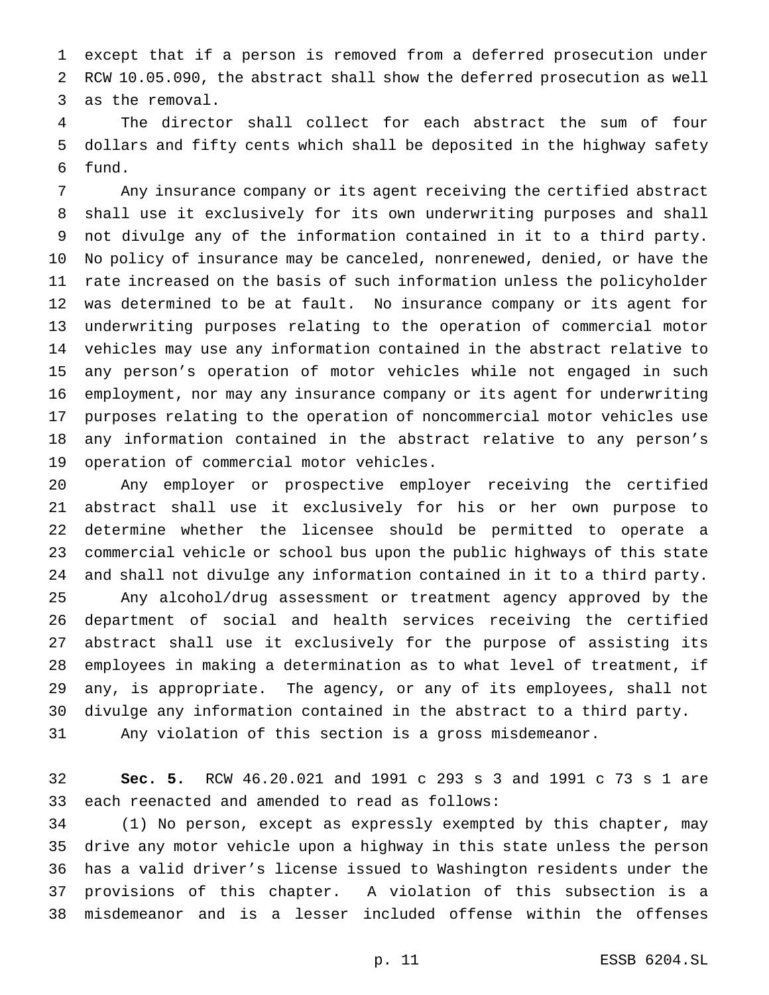except that if a person is removed from a deferred prosecution under RCW 10.05.090, the abstract shall show the deferred prosecution as well as the removal.

 The director shall collect for each abstract the sum of four dollars and fifty cents which shall be deposited in the highway safety fund.

 Any insurance company or its agent receiving the certified abstract shall use it exclusively for its own underwriting purposes and shall not divulge any of the information contained in it to a third party. No policy of insurance may be canceled, nonrenewed, denied, or have the rate increased on the basis of such information unless the policyholder was determined to be at fault. No insurance company or its agent for underwriting purposes relating to the operation of commercial motor vehicles may use any information contained in the abstract relative to any person's operation of motor vehicles while not engaged in such employment, nor may any insurance company or its agent for underwriting purposes relating to the operation of noncommercial motor vehicles use any information contained in the abstract relative to any person's operation of commercial motor vehicles.

 Any employer or prospective employer receiving the certified abstract shall use it exclusively for his or her own purpose to determine whether the licensee should be permitted to operate a commercial vehicle or school bus upon the public highways of this state and shall not divulge any information contained in it to a third party. Any alcohol/drug assessment or treatment agency approved by the department of social and health services receiving the certified abstract shall use it exclusively for the purpose of assisting its employees in making a determination as to what level of treatment, if any, is appropriate. The agency, or any of its employees, shall not divulge any information contained in the abstract to a third party. Any violation of this section is a gross misdemeanor.

 **Sec. 5.** RCW 46.20.021 and 1991 c 293 s 3 and 1991 c 73 s 1 are each reenacted and amended to read as follows:

 (1) No person, except as expressly exempted by this chapter, may drive any motor vehicle upon a highway in this state unless the person has a valid driver's license issued to Washington residents under the provisions of this chapter. A violation of this subsection is a misdemeanor and is a lesser included offense within the offenses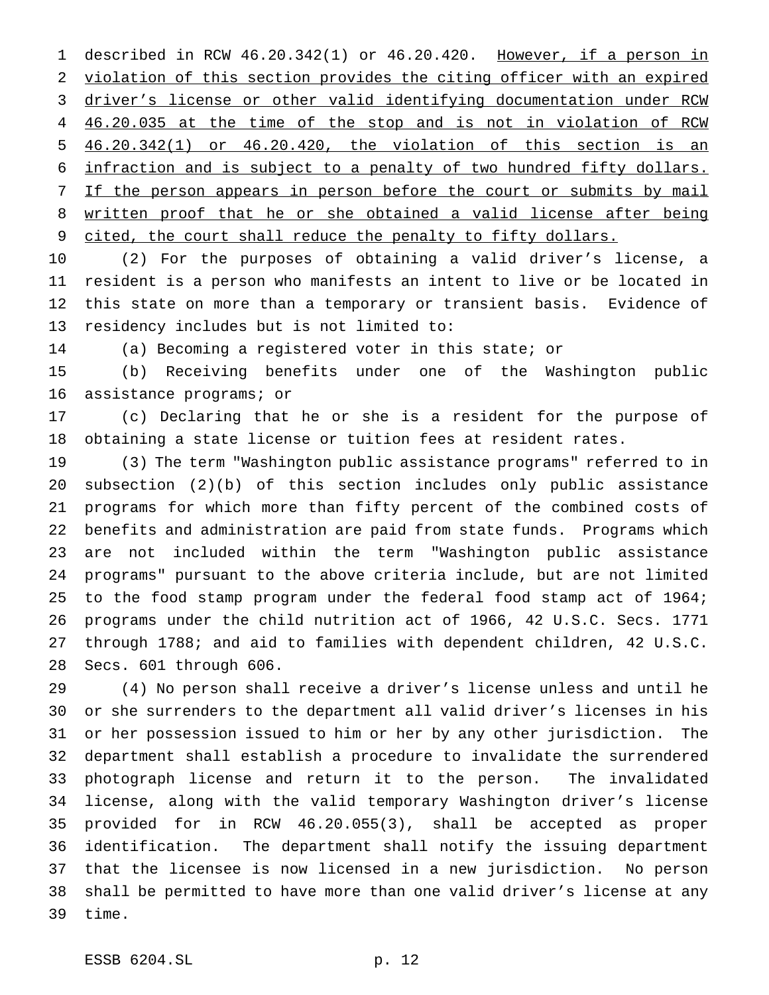described in RCW 46.20.342(1) or 46.20.420. However, if a person in violation of this section provides the citing officer with an expired driver's license or other valid identifying documentation under RCW 46.20.035 at the time of the stop and is not in violation of RCW 46.20.342(1) or 46.20.420, the violation of this section is an infraction and is subject to a penalty of two hundred fifty dollars. 7 If the person appears in person before the court or submits by mail written proof that he or she obtained a valid license after being 9 cited, the court shall reduce the penalty to fifty dollars.

 (2) For the purposes of obtaining a valid driver's license, a resident is a person who manifests an intent to live or be located in this state on more than a temporary or transient basis. Evidence of residency includes but is not limited to:

(a) Becoming a registered voter in this state; or

 (b) Receiving benefits under one of the Washington public assistance programs; or

 (c) Declaring that he or she is a resident for the purpose of obtaining a state license or tuition fees at resident rates.

 (3) The term "Washington public assistance programs" referred to in subsection (2)(b) of this section includes only public assistance programs for which more than fifty percent of the combined costs of benefits and administration are paid from state funds. Programs which are not included within the term "Washington public assistance programs" pursuant to the above criteria include, but are not limited to the food stamp program under the federal food stamp act of 1964; programs under the child nutrition act of 1966, 42 U.S.C. Secs. 1771 through 1788; and aid to families with dependent children, 42 U.S.C. Secs. 601 through 606.

 (4) No person shall receive a driver's license unless and until he or she surrenders to the department all valid driver's licenses in his or her possession issued to him or her by any other jurisdiction. The department shall establish a procedure to invalidate the surrendered photograph license and return it to the person. The invalidated license, along with the valid temporary Washington driver's license provided for in RCW 46.20.055(3), shall be accepted as proper identification. The department shall notify the issuing department that the licensee is now licensed in a new jurisdiction. No person shall be permitted to have more than one valid driver's license at any time.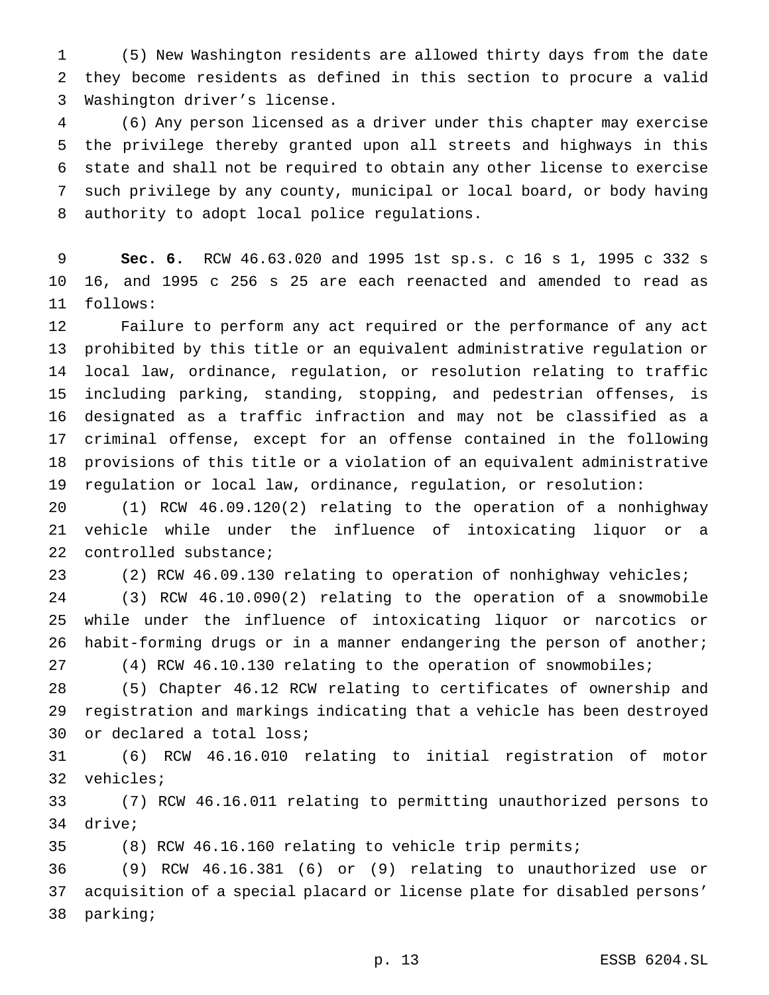(5) New Washington residents are allowed thirty days from the date they become residents as defined in this section to procure a valid Washington driver's license.

 (6) Any person licensed as a driver under this chapter may exercise the privilege thereby granted upon all streets and highways in this state and shall not be required to obtain any other license to exercise such privilege by any county, municipal or local board, or body having authority to adopt local police regulations.

 **Sec. 6.** RCW 46.63.020 and 1995 1st sp.s. c 16 s 1, 1995 c 332 s 16, and 1995 c 256 s 25 are each reenacted and amended to read as follows:

 Failure to perform any act required or the performance of any act prohibited by this title or an equivalent administrative regulation or local law, ordinance, regulation, or resolution relating to traffic including parking, standing, stopping, and pedestrian offenses, is designated as a traffic infraction and may not be classified as a criminal offense, except for an offense contained in the following provisions of this title or a violation of an equivalent administrative regulation or local law, ordinance, regulation, or resolution:

 (1) RCW 46.09.120(2) relating to the operation of a nonhighway vehicle while under the influence of intoxicating liquor or a controlled substance;

(2) RCW 46.09.130 relating to operation of nonhighway vehicles;

 (3) RCW 46.10.090(2) relating to the operation of a snowmobile while under the influence of intoxicating liquor or narcotics or habit-forming drugs or in a manner endangering the person of another; (4) RCW 46.10.130 relating to the operation of snowmobiles;

 (5) Chapter 46.12 RCW relating to certificates of ownership and registration and markings indicating that a vehicle has been destroyed or declared a total loss;

 (6) RCW 46.16.010 relating to initial registration of motor vehicles;

 (7) RCW 46.16.011 relating to permitting unauthorized persons to drive;

(8) RCW 46.16.160 relating to vehicle trip permits;

 (9) RCW 46.16.381 (6) or (9) relating to unauthorized use or acquisition of a special placard or license plate for disabled persons' parking;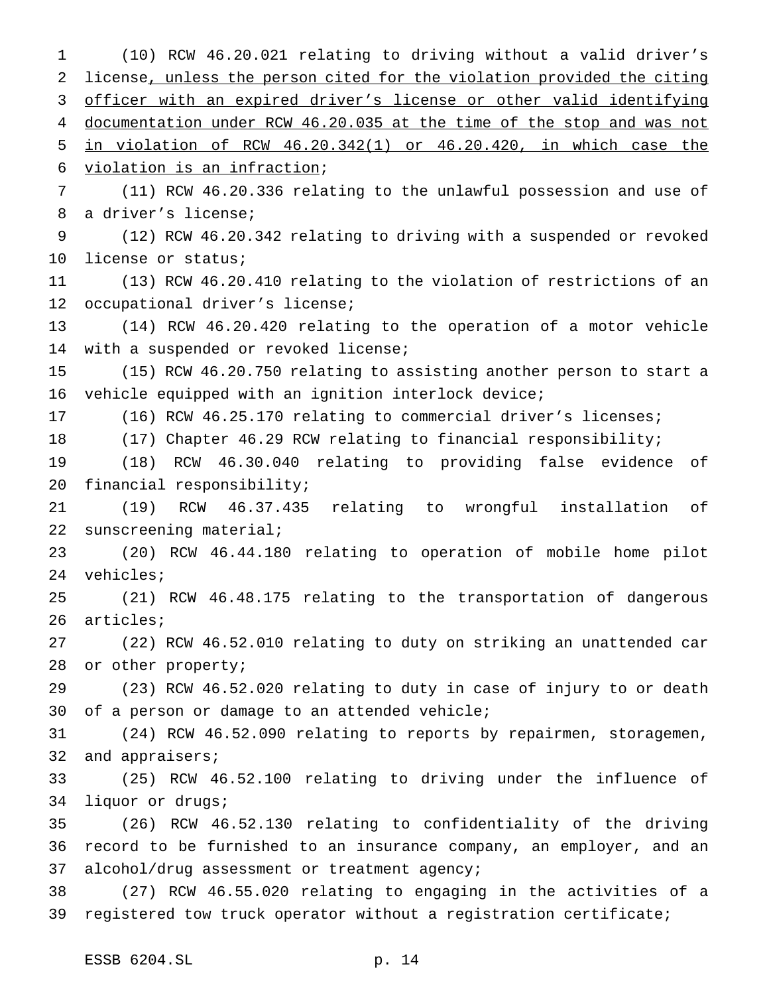(10) RCW 46.20.021 relating to driving without a valid driver's license, unless the person cited for the violation provided the citing officer with an expired driver's license or other valid identifying documentation under RCW 46.20.035 at the time of the stop and was not in violation of RCW 46.20.342(1) or 46.20.420, in which case the violation is an infraction; (11) RCW 46.20.336 relating to the unlawful possession and use of a driver's license; (12) RCW 46.20.342 relating to driving with a suspended or revoked license or status; (13) RCW 46.20.410 relating to the violation of restrictions of an occupational driver's license; (14) RCW 46.20.420 relating to the operation of a motor vehicle with a suspended or revoked license; (15) RCW 46.20.750 relating to assisting another person to start a vehicle equipped with an ignition interlock device; (16) RCW 46.25.170 relating to commercial driver's licenses; (17) Chapter 46.29 RCW relating to financial responsibility; (18) RCW 46.30.040 relating to providing false evidence of financial responsibility; (19) RCW 46.37.435 relating to wrongful installation of sunscreening material; (20) RCW 46.44.180 relating to operation of mobile home pilot vehicles; (21) RCW 46.48.175 relating to the transportation of dangerous articles; (22) RCW 46.52.010 relating to duty on striking an unattended car or other property; (23) RCW 46.52.020 relating to duty in case of injury to or death of a person or damage to an attended vehicle; (24) RCW 46.52.090 relating to reports by repairmen, storagemen, 32 and appraisers; (25) RCW 46.52.100 relating to driving under the influence of liquor or drugs; (26) RCW 46.52.130 relating to confidentiality of the driving record to be furnished to an insurance company, an employer, and an alcohol/drug assessment or treatment agency; (27) RCW 46.55.020 relating to engaging in the activities of a registered tow truck operator without a registration certificate;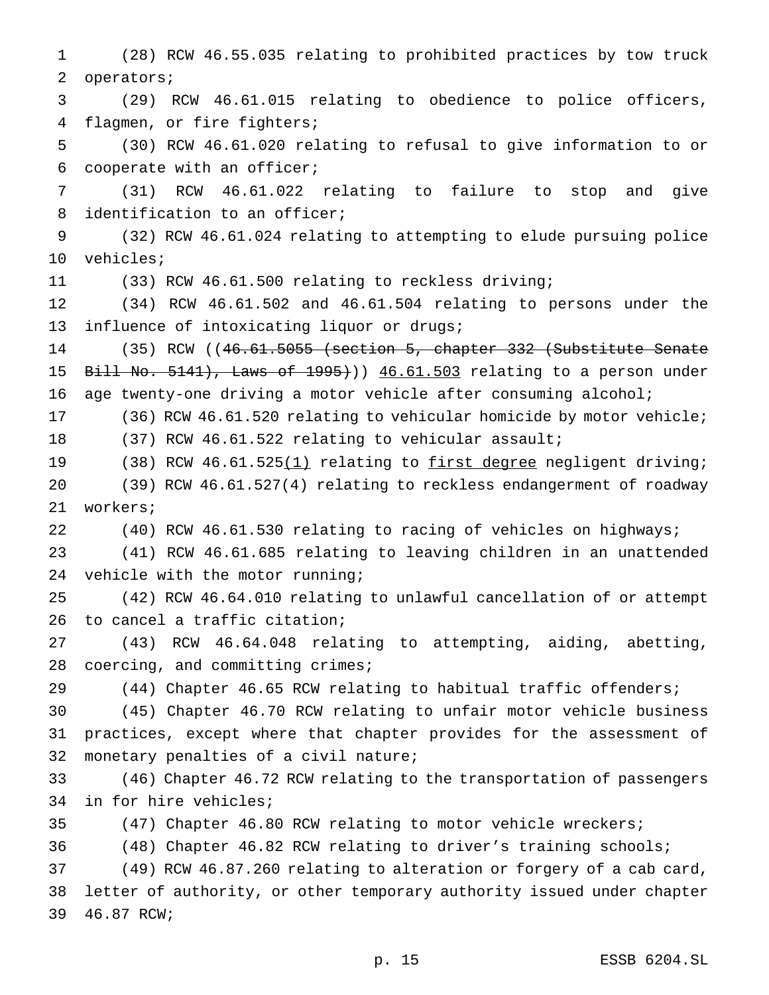(28) RCW 46.55.035 relating to prohibited practices by tow truck operators; (29) RCW 46.61.015 relating to obedience to police officers, flagmen, or fire fighters; (30) RCW 46.61.020 relating to refusal to give information to or cooperate with an officer; (31) RCW 46.61.022 relating to failure to stop and give identification to an officer; (32) RCW 46.61.024 relating to attempting to elude pursuing police vehicles; (33) RCW 46.61.500 relating to reckless driving; (34) RCW 46.61.502 and 46.61.504 relating to persons under the influence of intoxicating liquor or drugs; (35) RCW ((46.61.5055 (section 5, chapter 332 (Substitute Senate 15 Bill No. 5141), Laws of 1995))) 46.61.503 relating to a person under age twenty-one driving a motor vehicle after consuming alcohol; (36) RCW 46.61.520 relating to vehicular homicide by motor vehicle; (37) RCW 46.61.522 relating to vehicular assault; 19 (38) RCW 46.61.525(1) relating to first degree negligent driving; (39) RCW 46.61.527(4) relating to reckless endangerment of roadway workers; (40) RCW 46.61.530 relating to racing of vehicles on highways; (41) RCW 46.61.685 relating to leaving children in an unattended vehicle with the motor running; (42) RCW 46.64.010 relating to unlawful cancellation of or attempt to cancel a traffic citation; (43) RCW 46.64.048 relating to attempting, aiding, abetting, 28 coercing, and committing crimes; (44) Chapter 46.65 RCW relating to habitual traffic offenders; (45) Chapter 46.70 RCW relating to unfair motor vehicle business practices, except where that chapter provides for the assessment of monetary penalties of a civil nature; (46) Chapter 46.72 RCW relating to the transportation of passengers in for hire vehicles; (47) Chapter 46.80 RCW relating to motor vehicle wreckers; (48) Chapter 46.82 RCW relating to driver's training schools; (49) RCW 46.87.260 relating to alteration or forgery of a cab card, letter of authority, or other temporary authority issued under chapter 46.87 RCW;